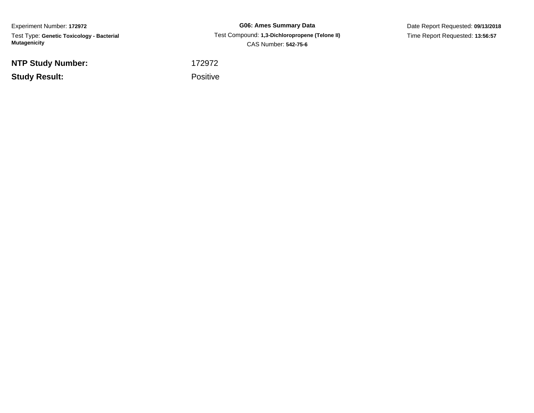Experiment Number: **172972** Test Type: **Genetic Toxicology - Bacterial Mutagenicity**

**NTP Study Number:**

**Study Result:**

**G06: Ames Summary Data** Test Compound: **1,3-Dichloropropene (Telone II)**CAS Number: **542-75-6**

Date Report Requested: **09/13/2018**Time Report Requested: **13:56:57**

 <sup>172972</sup>Positive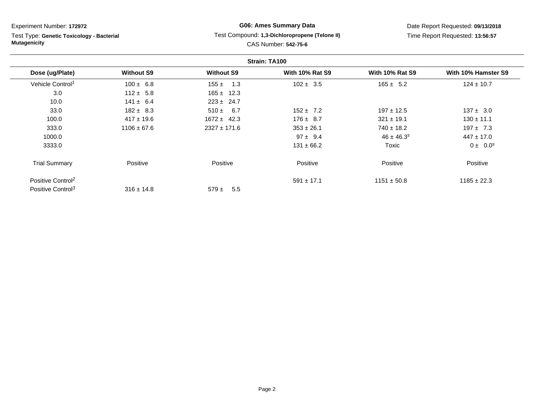Test Type: **Genetic Toxicology - Bacterial Mutagenicity**

# **G06: Ames Summary Data** Test Compound: **1,3-Dichloropropene (Telone II)**CAS Number: **542-75-6**

Date Report Requested: **09/13/2018**Time Report Requested: **13:56:57**

| Strain: TA100                 |                   |                   |                        |                        |                     |
|-------------------------------|-------------------|-------------------|------------------------|------------------------|---------------------|
| Dose (ug/Plate)               | <b>Without S9</b> | <b>Without S9</b> | <b>With 10% Rat S9</b> | <b>With 10% Rat S9</b> | With 10% Hamster S9 |
| Vehicle Control <sup>1</sup>  | $100 \pm 6.8$     | 1.3<br>155 $\pm$  | $102 \pm 3.5$          | $165 \pm 5.2$          | $124 \pm 10.7$      |
| 3.0                           | $112 \pm 5.8$     | $165 \pm 12.3$    |                        |                        |                     |
| 10.0                          | $141 \pm 6.4$     | $223 \pm 24.7$    |                        |                        |                     |
| 33.0                          | $182 \pm 8.3$     | $510 \pm 6.7$     | $152 \pm 7.2$          | $197 \pm 12.5$         | $137 \pm 3.0$       |
| 100.0                         | $417 \pm 19.6$    | $1672 \pm 42.3$   | $176 \pm 8.7$          | $321 \pm 19.1$         | $130 \pm 11.1$      |
| 333.0                         | $1106 \pm 67.6$   | $2327 \pm 171.6$  | $353 \pm 26.1$         | $740 \pm 18.2$         | $197 \pm 7.3$       |
| 1000.0                        |                   |                   | $97 \pm 9.4$           | $46 \pm 46.3^s$        | $447 \pm 17.0$      |
| 3333.0                        |                   |                   | $131 \pm 66.2$         | Toxic                  | $0 \pm 0.0^s$       |
| <b>Trial Summary</b>          | Positive          | Positive          | Positive               | Positive               | Positive            |
| Positive Control <sup>2</sup> |                   |                   | $591 \pm 17.1$         | $1151 \pm 50.8$        | $1185 \pm 22.3$     |
| Positive Control <sup>3</sup> | $316 \pm 14.8$    | $579 \pm$<br>5.5  |                        |                        |                     |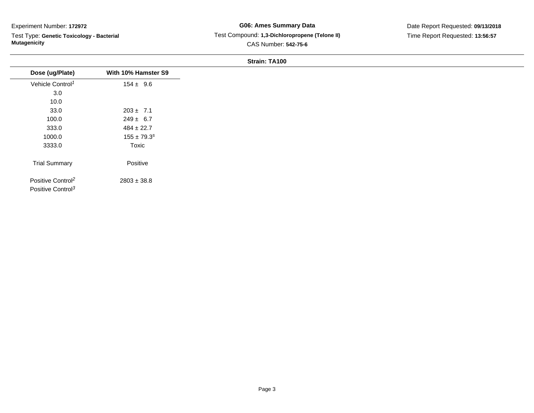Test Type: **Genetic Toxicology - Bacterial Mutagenicity**

#### **G06: Ames Summary Data** Test Compound: **1,3-Dichloropropene (Telone II)**CAS Number: **542-75-6**

#### Date Report Requested: **09/13/2018**Time Report Requested: **13:56:57**

#### **Strain: TA100**

| Dose (ug/Plate)                                                | With 10% Hamster S9 |
|----------------------------------------------------------------|---------------------|
| Vehicle Control <sup>1</sup>                                   | $154 \pm 9.6$       |
| 3.0                                                            |                     |
| 10.0                                                           |                     |
| 33.0                                                           | $203 \pm 7.1$       |
| 100.0                                                          | $249 \pm 6.7$       |
| 333.0                                                          | $484 \pm 22.7$      |
| 1000.0                                                         | $155 \pm 79.3^s$    |
| 3333.0                                                         | Toxic               |
| <b>Trial Summary</b>                                           | Positive            |
| Positive Control <sup>2</sup><br>Positive Control <sup>3</sup> | $2803 \pm 38.8$     |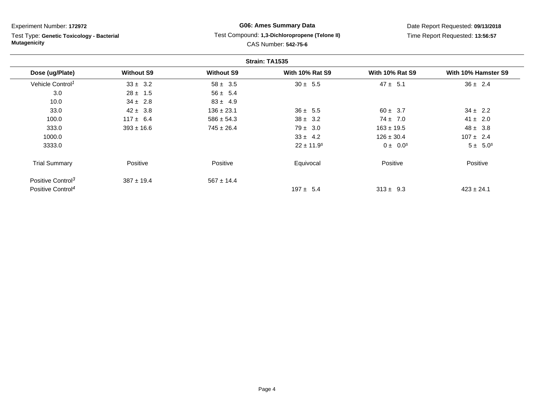Test Type: **Genetic Toxicology - Bacterial Mutagenicity**

## **G06: Ames Summary Data** Test Compound: **1,3-Dichloropropene (Telone II)**CAS Number: **542-75-6**

Date Report Requested: **09/13/2018**Time Report Requested: **13:56:57**

| Strain: TA1535                |                   |                   |                            |                        |                     |
|-------------------------------|-------------------|-------------------|----------------------------|------------------------|---------------------|
| Dose (ug/Plate)               | <b>Without S9</b> | <b>Without S9</b> | <b>With 10% Rat S9</b>     | <b>With 10% Rat S9</b> | With 10% Hamster S9 |
| Vehicle Control <sup>1</sup>  | $33 \pm 3.2$      | $58 \pm 3.5$      | $30 \pm 5.5$               | $47 \pm 5.1$           | $36 \pm 2.4$        |
| 3.0                           | $28 \pm 1.5$      | $56 \pm 5.4$      |                            |                        |                     |
| 10.0                          | $34 \pm 2.8$      | $83 \pm 4.9$      |                            |                        |                     |
| 33.0                          | $42 \pm 3.8$      | $136 \pm 23.1$    | $36 \pm 5.5$               | $60 \pm 3.7$           | $34 \pm 2.2$        |
| 100.0                         | $117 \pm 6.4$     | $586 \pm 54.3$    | $38 \pm 3.2$               | $74 \pm 7.0$           | $41 \pm 2.0$        |
| 333.0                         | $393 \pm 16.6$    | $745 \pm 26.4$    | $79 \pm 3.0$               | $163 \pm 19.5$         | $48 \pm 3.8$        |
| 1000.0                        |                   |                   | $33 \pm 4.2$               | $126 \pm 30.4$         | $107 \pm 2.4$       |
| 3333.0                        |                   |                   | $22 \pm 11.9$ <sup>s</sup> | $0 \pm 0.0^s$          | $5 \pm 5.0^s$       |
| <b>Trial Summary</b>          | Positive          | Positive          | Equivocal                  | Positive               | Positive            |
| Positive Control <sup>3</sup> | $387 \pm 19.4$    | $567 \pm 14.4$    |                            |                        |                     |
| Positive Control <sup>4</sup> |                   |                   | $197 \pm 5.4$              | $313 \pm 9.3$          | $423 \pm 24.1$      |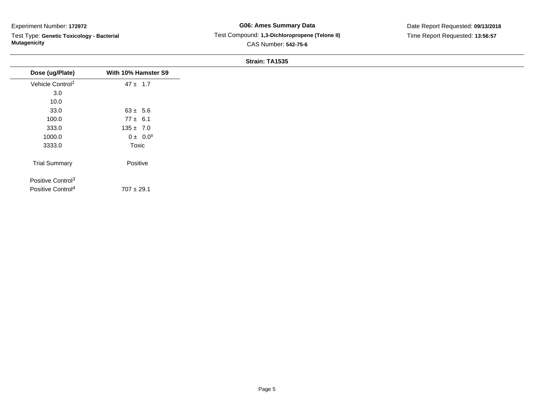Test Type: **Genetic Toxicology - Bacterial Mutagenicity**

#### **G06: Ames Summary Data** Test Compound: **1,3-Dichloropropene (Telone II)**CAS Number: **542-75-6**

Date Report Requested: **09/13/2018**Time Report Requested: **13:56:57**

#### **Strain: TA1535**

|                               |                     | <b>ULLAILL LATUUS</b> |
|-------------------------------|---------------------|-----------------------|
| Dose (ug/Plate)               | With 10% Hamster S9 |                       |
| Vehicle Control <sup>1</sup>  | $47 \pm 1.7$        |                       |
| 3.0                           |                     |                       |
| 10.0                          |                     |                       |
| 33.0                          | $63 \pm 5.6$        |                       |
| 100.0                         | $77 \pm 6.1$        |                       |
| 333.0                         | $135 \pm 7.0$       |                       |
| 1000.0                        | $0 \pm 0.0^s$       |                       |
| 3333.0                        | Toxic               |                       |
| <b>Trial Summary</b>          | Positive            |                       |
| Positive Control <sup>3</sup> |                     |                       |
| Positive Control <sup>4</sup> | $707 \pm 29.1$      |                       |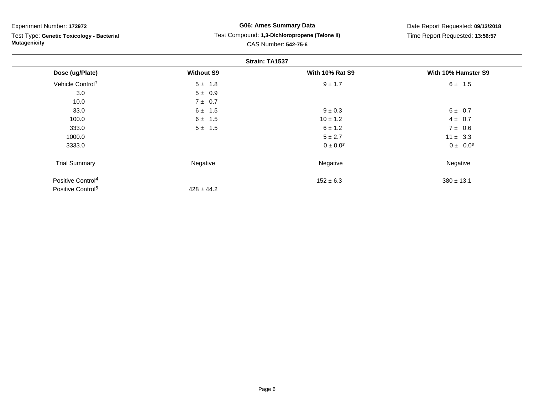Test Type: **Genetic Toxicology - Bacterial Mutagenicity**

## **G06: Ames Summary Data** Test Compound: **1,3-Dichloropropene (Telone II)**CAS Number: **542-75-6**

Date Report Requested: **09/13/2018**Time Report Requested: **13:56:57**

| Strain: TA1537                |                   |                        |                     |
|-------------------------------|-------------------|------------------------|---------------------|
| Dose (ug/Plate)               | <b>Without S9</b> | <b>With 10% Rat S9</b> | With 10% Hamster S9 |
| Vehicle Control <sup>1</sup>  | $5 \pm 1.8$       | $9 \pm 1.7$            | $6 \pm 1.5$         |
| 3.0                           | $5 \pm 0.9$       |                        |                     |
| 10.0                          | 7 ± 0.7           |                        |                     |
| 33.0                          | $6 \pm 1.5$       | $9 \pm 0.3$            | $6 \pm 0.7$         |
| 100.0                         | $6 \pm 1.5$       | $10 \pm 1.2$           | $4 \pm 0.7$         |
| 333.0                         | $5 \pm 1.5$       | $6 \pm 1.2$            | $7 \pm 0.6$         |
| 1000.0                        |                   | $5 \pm 2.7$            | $11 \pm 3.3$        |
| 3333.0                        |                   | $0 \pm 0.0^{s}$        | $0 \pm 0.0^s$       |
| <b>Trial Summary</b>          | Negative          | Negative               | Negative            |
| Positive Control <sup>4</sup> |                   | $152 \pm 6.3$          | $380 \pm 13.1$      |
| Positive Control <sup>5</sup> | $428 \pm 44.2$    |                        |                     |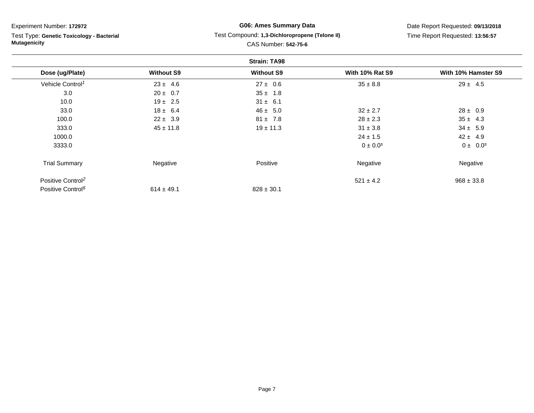**Strain: TA98Dose (ug/Plate) Without S9 Without S9 With 10% Rat S9 With 10% Hamster S9** Vehicle Control<sup>1</sup>  $23 \pm 4.6$ 6  $27 \pm 0.6$   $35 \pm 8.8$   $29 \pm 4.5$ Experiment Number: **172972** Test Type: **Genetic Toxicology - BacterialMutagenicityG06: Ames Summary Data** Test Compound: **1,3-Dichloropropene (Telone II)**CAS Number: **542-75-6**

| 3.0                           | $20 \pm 0.7$   | $35 \pm 1.8$   |               |                |
|-------------------------------|----------------|----------------|---------------|----------------|
| 10.0                          | $19 \pm 2.5$   | $31 \pm 6.1$   |               |                |
| 33.0                          | $18 \pm 6.4$   | $46 \pm 5.0$   | $32 \pm 2.7$  | $28 \pm 0.9$   |
| 100.0                         | $22 \pm 3.9$   | $81 \pm 7.8$   | $28 \pm 2.3$  | $35 \pm 4.3$   |
| 333.0                         | $45 \pm 11.8$  | $19 \pm 11.3$  | $31 \pm 3.8$  | $34 \pm 5.9$   |
| 1000.0                        |                |                | $24 \pm 1.5$  | $42 \pm 4.9$   |
| 3333.0                        |                |                | $0 \pm 0.0^s$ | $0 \pm 0.0^s$  |
| <b>Trial Summary</b>          | Negative       | Positive       | Negative      | Negative       |
| Positive Control <sup>2</sup> |                |                | $521 \pm 4.2$ | $968 \pm 33.8$ |
| Positive Control <sup>6</sup> | $614 \pm 49.1$ | $828 \pm 30.1$ |               |                |
|                               |                |                |               |                |

Time Report Requested: **13:56:57**

# Date Report Requested: **09/13/2018**